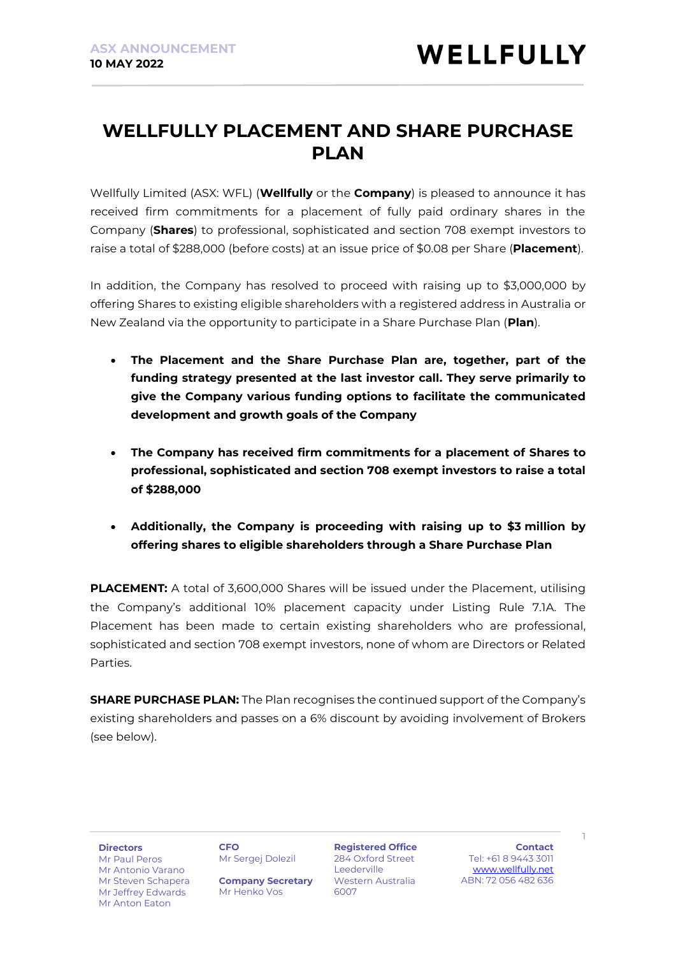### **WELLFULLY PLACEMENT AND SHARE PURCHASE PLAN**

Wellfully Limited (ASX: WFL) (**Wellfully** or the **Company**) is pleased to announce it has received firm commitments for a placement of fully paid ordinary shares in the Company (**Shares**) to professional, sophisticated and section 708 exempt investors to raise a total of \$288,000 (before costs) at an issue price of \$0.08 per Share (**Placement**).

In addition, the Company has resolved to proceed with raising up to \$3,000,000 by offering Shares to existing eligible shareholders with a registered address in Australia or New Zealand via the opportunity to participate in a Share Purchase Plan (**Plan**).

- **The Placement and the Share Purchase Plan are, together, part of the funding strategy presented at the last investor call. They serve primarily to give the Company various funding options to facilitate the communicated development and growth goals of the Company**
- **The Company has received firm commitments for a placement of Shares to professional, sophisticated and section 708 exempt investors to raise a total of \$288,000**
- **Additionally, the Company is proceeding with raising up to \$3 million by offering shares to eligible shareholders through a Share Purchase Plan**

**PLACEMENT:** A total of 3,600,000 Shares will be issued under the Placement, utilising the Company's additional 10% placement capacity under Listing Rule 7.1A. The Placement has been made to certain existing shareholders who are professional, sophisticated and section 708 exempt investors, none of whom are Directors or Related Parties.

**SHARE PURCHASE PLAN:** The Plan recognises the continued support of the Company's existing shareholders and passes on a 6% discount by avoiding involvement of Brokers (see below).

**Directors**

Mr Paul Peros Mr Antonio Varano Mr Steven Schapera Mr Jeffrey Edwards Mr Anton Eaton

**CFO** Mr Sergej Dolezil

**Company Secretary** Mr Henko Vos

**Registered Office** 284 Oxford Street **Leederville** Western Australia 6007

**Contact** Tel: +61 8 9443 3011 [www.wellfully.net](http://www.wellfully.net/) ABN: 72 056 482 636

1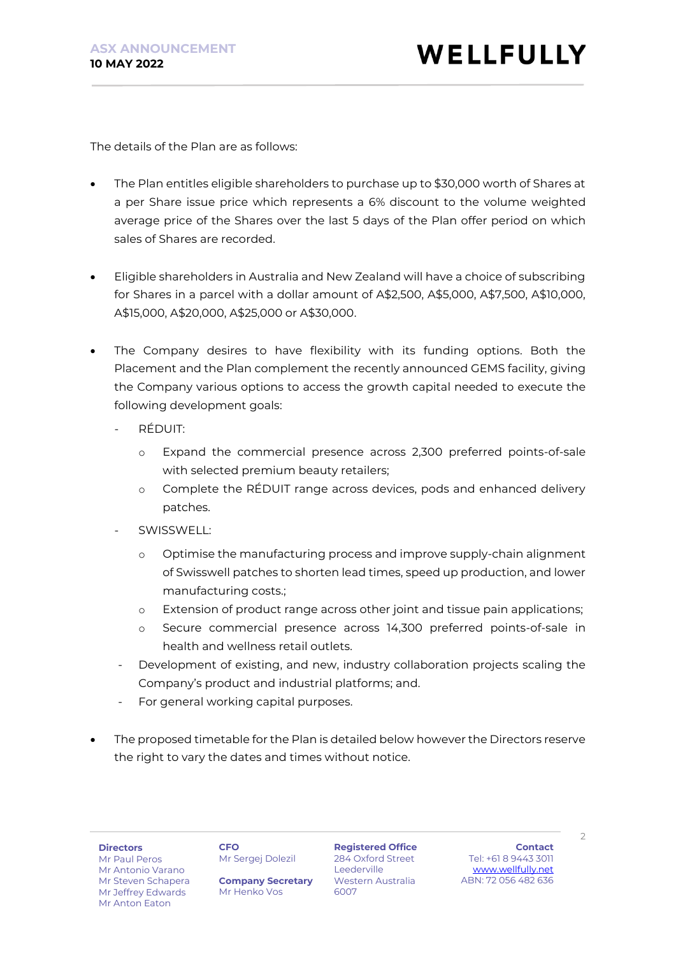The details of the Plan are as follows:

- The Plan entitles eligible shareholders to purchase up to \$30,000 worth of Shares at a per Share issue price which represents a 6% discount to the volume weighted average price of the Shares over the last 5 days of the Plan offer period on which sales of Shares are recorded.
- Eligible shareholders in Australia and New Zealand will have a choice of subscribing for Shares in a parcel with a dollar amount of A\$2,500, A\$5,000, A\$7,500, A\$10,000, A\$15,000, A\$20,000, A\$25,000 or A\$30,000.
- The Company desires to have flexibility with its funding options. Both the Placement and the Plan complement the recently announced GEMS facility, giving the Company various options to access the growth capital needed to execute the following development goals:
	- RÉDUIT:
		- o Expand the commercial presence across 2,300 preferred points-of-sale with selected premium beauty retailers;
		- o Complete the RÉDUIT range across devices, pods and enhanced delivery patches.
	- SWISSWELL:
		- o Optimise the manufacturing process and improve supply-chain alignment of Swisswell patches to shorten lead times, speed up production, and lower manufacturing costs.;
		- o Extension of product range across other joint and tissue pain applications;
		- o Secure commercial presence across 14,300 preferred points-of-sale in health and wellness retail outlets.
	- Development of existing, and new, industry collaboration projects scaling the Company's product and industrial platforms; and.
	- For general working capital purposes.
- The proposed timetable for the Plan is detailed below however the Directors reserve the right to vary the dates and times without notice.

#### **Directors**

**CFO** Mr Sergej Dolezil

Mr Paul Peros Mr Antonio Varano Mr Steven Schapera Mr Jeffrey Edwards Mr Anton Eaton

**Company Secretary** Mr Henko Vos

**Registered Office** 284 Oxford Street **Leederville** Western Australia 6007

**Contact** Tel: +61 8 9443 3011 [www.wellfully.net](http://www.wellfully.net/) ABN: 72 056 482 636

 $\mathcal{D}$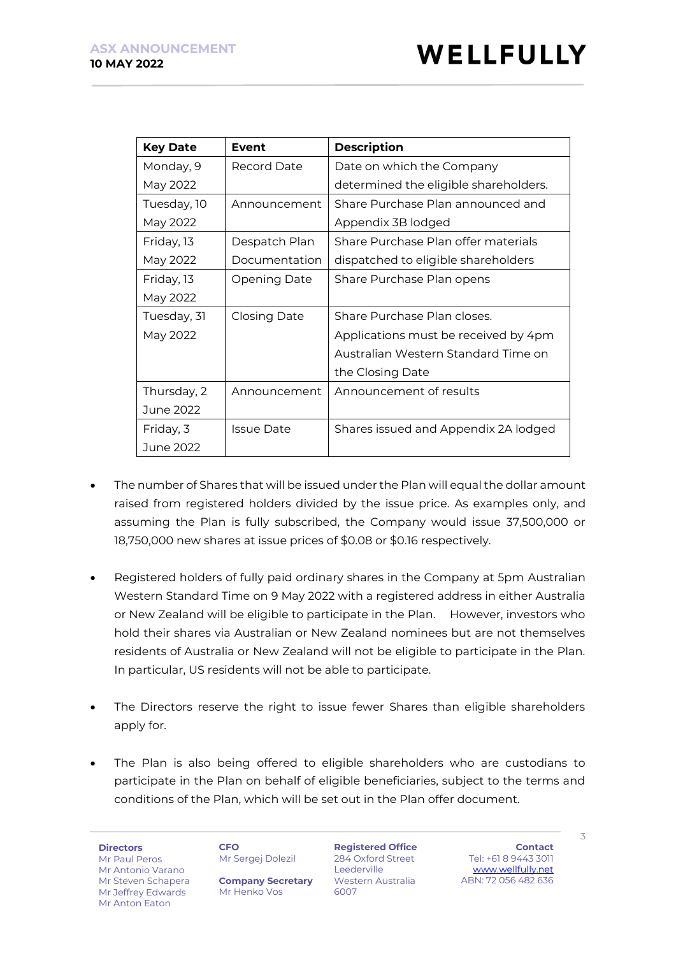| <b>Key Date</b> | Event             | <b>Description</b>                    |
|-----------------|-------------------|---------------------------------------|
| Monday, 9       | Record Date       | Date on which the Company             |
| May 2022        |                   | determined the eligible shareholders. |
| Tuesday, 10     | Announcement      | Share Purchase Plan announced and     |
| May 2022        |                   | Appendix 3B lodged                    |
| Friday, 13      | Despatch Plan     | Share Purchase Plan offer materials   |
| May 2022        | Documentation     | dispatched to eligible shareholders   |
| Friday, 13      | Opening Date      | Share Purchase Plan opens             |
| May 2022        |                   |                                       |
| Tuesday, 31     | Closing Date      | Share Purchase Plan closes.           |
| May 2022        |                   | Applications must be received by 4pm  |
|                 |                   | Australian Western Standard Time on   |
|                 |                   | the Closing Date                      |
| Thursday, 2     | Announcement      | Announcement of results               |
| June 2022       |                   |                                       |
| Friday, 3       | <b>Issue Date</b> | Shares issued and Appendix 2A lodged  |
| June 2022       |                   |                                       |

- The number of Shares that will be issued under the Plan will equal the dollar amount raised from registered holders divided by the issue price. As examples only, and assuming the Plan is fully subscribed, the Company would issue 37,500,000 or 18,750,000 new shares at issue prices of \$0.08 or \$0.16 respectively.
- Registered holders of fully paid ordinary shares in the Company at 5pm Australian Western Standard Time on 9 May 2022 with a registered address in either Australia or New Zealand will be eligible to participate in the Plan. However, investors who hold their shares via Australian or New Zealand nominees but are not themselves residents of Australia or New Zealand will not be eligible to participate in the Plan. In particular, US residents will not be able to participate.
- The Directors reserve the right to issue fewer Shares than eligible shareholders apply for.
- The Plan is also being offered to eligible shareholders who are custodians to participate in the Plan on behalf of eligible beneficiaries, subject to the terms and conditions of the Plan, which will be set out in the Plan offer document.

**Directors** Mr Paul Peros Mr Antonio Varano Mr Steven Schapera Mr Jeffrey Edwards Mr Anton Eaton

**CFO** Mr Sergej Dolezil

**Company Secretary** Mr Henko Vos

**Registered Office** 284 Oxford Street Leederville Western Australia 6007

**Contact** Tel: +61 8 9443 3011 [www.wellfully.net](http://www.wellfully.net/) ABN: 72 056 482 636

 $\overline{\phantom{a}}$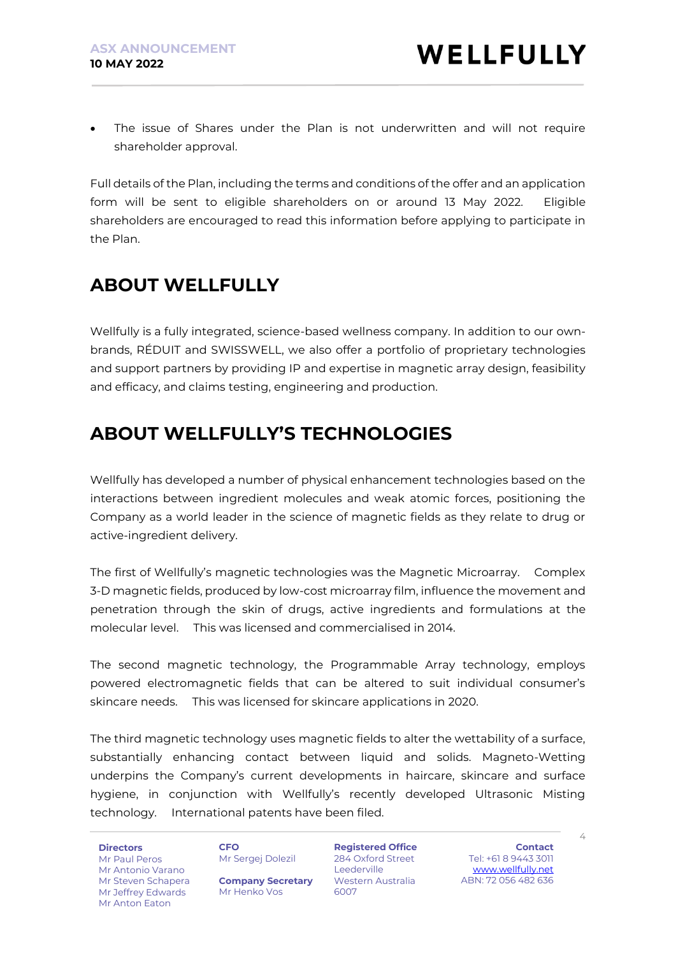The issue of Shares under the Plan is not underwritten and will not require shareholder approval.

Full details of the Plan, including the terms and conditions of the offer and an application form will be sent to eligible shareholders on or around 13 May 2022. Eligible shareholders are encouraged to read this information before applying to participate in the Plan.

# **ABOUT WELLFULLY**

Wellfully is a fully integrated, science-based wellness company. In addition to our ownbrands, RÉDUIT and SWISSWELL, we also offer a portfolio of proprietary technologies and support partners by providing IP and expertise in magnetic array design, feasibility and efficacy, and claims testing, engineering and production.

# **ABOUT WELLFULLY'S TECHNOLOGIES**

Wellfully has developed a number of physical enhancement technologies based on the interactions between ingredient molecules and weak atomic forces, positioning the Company as a world leader in the science of magnetic fields as they relate to drug or active-ingredient delivery.

The first of Wellfully's magnetic technologies was the Magnetic Microarray. Complex 3-D magnetic fields, produced by low-cost microarray film, influence the movement and penetration through the skin of drugs, active ingredients and formulations at the molecular level. This was licensed and commercialised in 2014.

The second magnetic technology, the Programmable Array technology, employs powered electromagnetic fields that can be altered to suit individual consumer's skincare needs. This was licensed for skincare applications in 2020.

The third magnetic technology uses magnetic fields to alter the wettability of a surface, substantially enhancing contact between liquid and solids. Magneto-Wetting underpins the Company's current developments in haircare, skincare and surface hygiene, in conjunction with Wellfully's recently developed Ultrasonic Misting technology. International patents have been filed.

**Directors** Mr Paul Peros Mr Antonio Varano Mr Steven Schapera Mr Jeffrey Edwards Mr Anton Eaton

**CFO** Mr Sergej Dolezil

**Company Secretary** Mr Henko Vos

**Registered Office** 284 Oxford Street Leederville Western Australia 6007

**Contact** Tel: +61 8 9443 3011 [www.wellfully.net](http://www.wellfully.net/) ABN: 72 056 482 636

 $\angle$